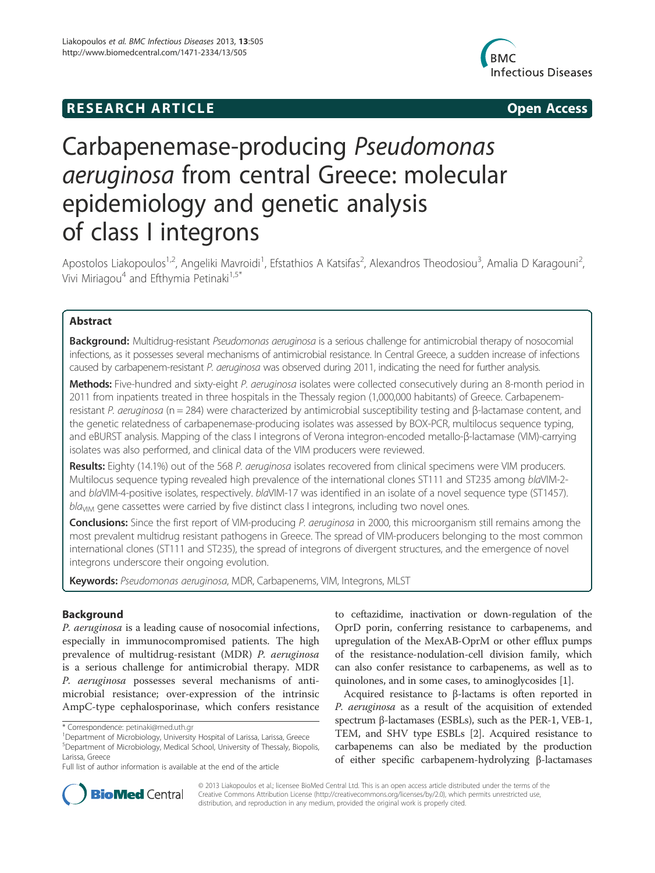## **RESEARCH ARTICLE Example 2014 The SEAR CH ACCESS**



# Carbapenemase-producing Pseudomonas aeruginosa from central Greece: molecular epidemiology and genetic analysis of class I integrons

Apostolos Liakopoulos<sup>1,2</sup>, Angeliki Mavroidi<sup>1</sup>, Efstathios A Katsifas<sup>2</sup>, Alexandros Theodosiou<sup>3</sup>, Amalia D Karagouni<sup>2</sup> , Vivi Miriagou<sup>4</sup> and Efthymia Petinaki<sup>1,5\*</sup>

## Abstract

Background: Multidrug-resistant Pseudomonas aeruginosa is a serious challenge for antimicrobial therapy of nosocomial infections, as it possesses several mechanisms of antimicrobial resistance. In Central Greece, a sudden increase of infections caused by carbapenem-resistant P. aeruginosa was observed during 2011, indicating the need for further analysis.

Methods: Five-hundred and sixty-eight P. aeruginosa isolates were collected consecutively during an 8-month period in 2011 from inpatients treated in three hospitals in the Thessaly region (1,000,000 habitants) of Greece. Carbapenemresistant P. aeruginosa (n = 284) were characterized by antimicrobial susceptibility testing and β-lactamase content, and the genetic relatedness of carbapenemase-producing isolates was assessed by BOX-PCR, multilocus sequence typing, and eBURST analysis. Mapping of the class I integrons of Verona integron-encoded metallo-β-lactamase (VIM)-carrying isolates was also performed, and clinical data of the VIM producers were reviewed.

Results: Eighty (14.1%) out of the 568 P. aeruginosa isolates recovered from clinical specimens were VIM producers. Multilocus sequence typing revealed high prevalence of the international clones ST111 and ST235 among blaVIM-2 and blaVIM-4-positive isolates, respectively. blaVIM-17 was identified in an isolate of a novel sequence type (ST1457).  $bla<sub>VIM</sub>$  gene cassettes were carried by five distinct class I integrons, including two novel ones.

Conclusions: Since the first report of VIM-producing P. aeruginosa in 2000, this microorganism still remains among the most prevalent multidrug resistant pathogens in Greece. The spread of VIM-producers belonging to the most common international clones (ST111 and ST235), the spread of integrons of divergent structures, and the emergence of novel integrons underscore their ongoing evolution.

Keywords: Pseudomonas aeruginosa, MDR, Carbapenems, VIM, Integrons, MLST

## Background

P. aeruginosa is a leading cause of nosocomial infections, especially in immunocompromised patients. The high prevalence of multidrug-resistant (MDR) P. aeruginosa is a serious challenge for antimicrobial therapy. MDR P. aeruginosa possesses several mechanisms of antimicrobial resistance; over-expression of the intrinsic AmpC-type cephalosporinase, which confers resistance to ceftazidime, inactivation or down-regulation of the OprD porin, conferring resistance to carbapenems, and upregulation of the MexAB-OprM or other efflux pumps of the resistance-nodulation-cell division family, which can also confer resistance to carbapenems, as well as to quinolones, and in some cases, to aminoglycosides [1].

Acquired resistance to β-lactams is often reported in P. aeruginosa as a result of the acquisition of extended spectrum β-lactamases (ESBLs), such as the PER-1, VEB-1, TEM, and SHV type ESBLs [2]. Acquired resistance to carbapenems can also be mediated by the production of either specific carbapenem-hydrolyzing β-lactamases



© 2013 Liakopoulos et al.; licensee BioMed Central Ltd. This is an open access article distributed under the terms of the Creative Commons Attribution License (http://creativecommons.org/licenses/by/2.0), which permits unrestricted use, distribution, and reproduction in any medium, provided the original work is properly cited.

<sup>\*</sup> Correspondence: petinaki@med.uth.gr <sup>1</sup>

Department of Microbiology, University Hospital of Larissa, Larissa, Greece 5 Department of Microbiology, Medical School, University of Thessaly, Biopolis, Larissa, Greece

Full list of author information is available at the end of the article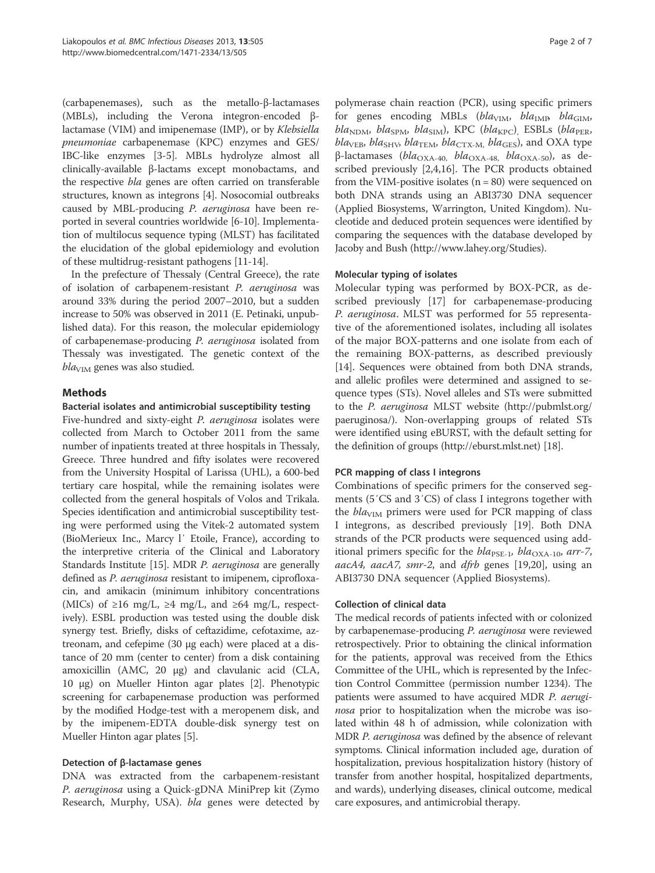(carbapenemases), such as the metallo-β-lactamases (MBLs), including the Verona integron-encoded βlactamase (VIM) and imipenemase (IMP), or by Klebsiella pneumoniae carbapenemase (KPC) enzymes and GES/ IBC-like enzymes [3-5]. MBLs hydrolyze almost all clinically-available β-lactams except monobactams, and the respective bla genes are often carried on transferable structures, known as integrons [4]. Nosocomial outbreaks caused by MBL-producing P. aeruginosa have been reported in several countries worldwide [6-10]. Implementation of multilocus sequence typing (MLST) has facilitated the elucidation of the global epidemiology and evolution of these multidrug-resistant pathogens [11-14].

In the prefecture of Thessaly (Central Greece), the rate of isolation of carbapenem-resistant P. aeruginosa was around 33% during the period 2007–2010, but a sudden increase to 50% was observed in 2011 (E. Petinaki, unpublished data). For this reason, the molecular epidemiology of carbapenemase-producing P. aeruginosa isolated from Thessaly was investigated. The genetic context of the  $bla<sub>VIM</sub>$  genes was also studied.

## Methods

## Bacterial isolates and antimicrobial susceptibility testing

Five-hundred and sixty-eight P. aeruginosa isolates were collected from March to October 2011 from the same number of inpatients treated at three hospitals in Thessaly, Greece. Three hundred and fifty isolates were recovered from the University Hospital of Larissa (UHL), a 600-bed tertiary care hospital, while the remaining isolates were collected from the general hospitals of Volos and Trikala. Species identification and antimicrobial susceptibility testing were performed using the Vitek-2 automated system (BioMerieux Inc., Marcy l′ Etoile, France), according to the interpretive criteria of the Clinical and Laboratory Standards Institute [15]. MDR P. aeruginosa are generally defined as *P. aeruginosa* resistant to imipenem, ciprofloxacin, and amikacin (minimum inhibitory concentrations (MICs) of ≥16 mg/L, ≥4 mg/L, and ≥64 mg/L, respectively). ESBL production was tested using the double disk synergy test. Briefly, disks of ceftazidime, cefotaxime, aztreonam, and cefepime (30 μg each) were placed at a distance of 20 mm (center to center) from a disk containing amoxicillin (AMC, 20 μg) and clavulanic acid (CLA, 10 μg) on Mueller Hinton agar plates [2]. Phenotypic screening for carbapenemase production was performed by the modified Hodge-test with a meropenem disk, and by the imipenem-EDTA double-disk synergy test on Mueller Hinton agar plates [5].

## Detection of β-lactamase genes

DNA was extracted from the carbapenem-resistant P. aeruginosa using a Quick-gDNA MiniPrep kit (Zymo Research, Murphy, USA). bla genes were detected by

polymerase chain reaction (PCR), using specific primers for genes encoding MBLs (bla<sub>VIM</sub>, bla<sub>IMP</sub>, bla<sub>GIM</sub>,  $bla_{\text{NDM}}$ ,  $bla_{\text{SPM}}$ ,  $bla_{\text{SIM}}$ ), KPC ( $bla_{\text{KPC}}$ ), ESBLs ( $bla_{\text{PER}}$ ,  $bla<sub>VEB</sub>, bla<sub>SHV</sub>, bla<sub>TEM</sub>, bla<sub>CTX-M</sub>, bla<sub>GES</sub>),$  and OXA type β-lactamases (bla<sub>OXA-40</sub>, bla<sub>OXA-48</sub>, bla<sub>OXA-50</sub>), as described previously [2,4,16]. The PCR products obtained from the VIM-positive isolates  $(n = 80)$  were sequenced on both DNA strands using an ABI3730 DNA sequencer (Applied Biosystems, Warrington, United Kingdom). Nucleotide and deduced protein sequences were identified by comparing the sequences with the database developed by Jacoby and Bush (http://www.lahey.org/Studies).

## Molecular typing of isolates

Molecular typing was performed by BOX-PCR, as described previously [17] for carbapenemase-producing P. aeruginosa. MLST was performed for 55 representative of the aforementioned isolates, including all isolates of the major BOX-patterns and one isolate from each of the remaining BOX-patterns, as described previously [14]. Sequences were obtained from both DNA strands, and allelic profiles were determined and assigned to sequence types (STs). Novel alleles and STs were submitted to the P. aeruginosa MLST website (http://pubmlst.org/ paeruginosa/). Non-overlapping groups of related STs were identified using eBURST, with the default setting for the definition of groups (http://eburst.mlst.net) [18].

## PCR mapping of class I integrons

Combinations of specific primers for the conserved segments (5′CS and 3′CS) of class I integrons together with the  $bla<sub>VIM</sub>$  primers were used for PCR mapping of class I integrons, as described previously [19]. Both DNA strands of the PCR products were sequenced using additional primers specific for the  $bla_{\text{PSE-1}}$ ,  $bla_{\text{OXA-10}}$ , arr-7, aacA4, aacA7, smr-2, and dfrb genes [19,20], using an ABI3730 DNA sequencer (Applied Biosystems).

#### Collection of clinical data

The medical records of patients infected with or colonized by carbapenemase-producing P. aeruginosa were reviewed retrospectively. Prior to obtaining the clinical information for the patients, approval was received from the Ethics Committee of the UHL, which is represented by the Infection Control Committee (permission number 1234). The patients were assumed to have acquired MDR P. aeruginosa prior to hospitalization when the microbe was isolated within 48 h of admission, while colonization with MDR P. aeruginosa was defined by the absence of relevant symptoms. Clinical information included age, duration of hospitalization, previous hospitalization history (history of transfer from another hospital, hospitalized departments, and wards), underlying diseases, clinical outcome, medical care exposures, and antimicrobial therapy.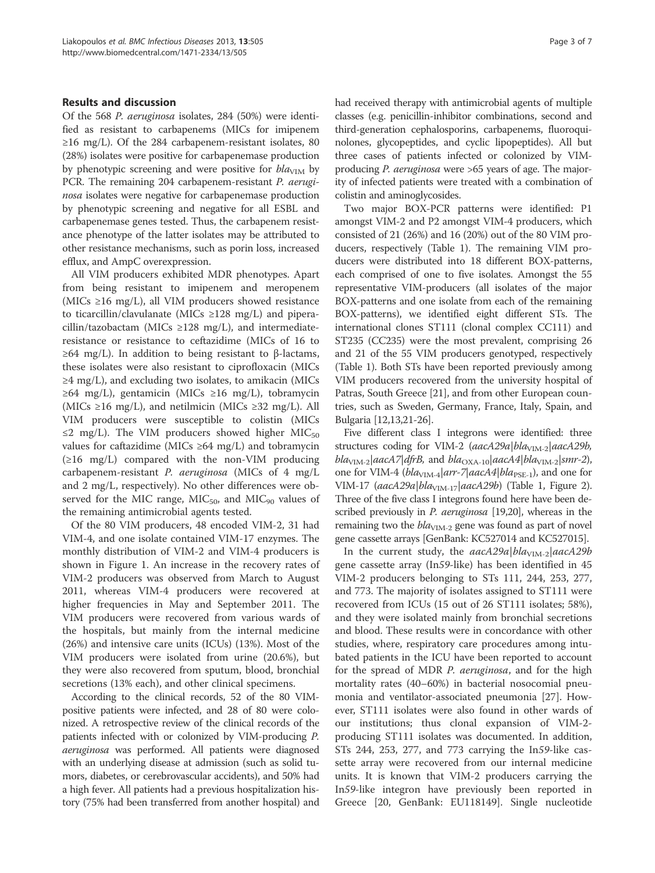#### Results and discussion

Of the 568 P. aeruginosa isolates, 284 (50%) were identified as resistant to carbapenems (MICs for imipenem ≥16 mg/L). Of the 284 carbapenem-resistant isolates, 80 (28%) isolates were positive for carbapenemase production by phenotypic screening and were positive for  $bla<sub>VIM</sub>$  by PCR. The remaining 204 carbapenem-resistant *P. aerugi*nosa isolates were negative for carbapenemase production by phenotypic screening and negative for all ESBL and carbapenemase genes tested. Thus, the carbapenem resistance phenotype of the latter isolates may be attributed to other resistance mechanisms, such as porin loss, increased efflux, and AmpC overexpression.

All VIM producers exhibited MDR phenotypes. Apart from being resistant to imipenem and meropenem (MICs ≥16 mg/L), all VIM producers showed resistance to ticarcillin/clavulanate (MICs  $\geq$ 128 mg/L) and piperacillin/tazobactam (MICs  $\geq$ 128 mg/L), and intermediateresistance or resistance to ceftazidime (MICs of 16 to  $\geq$ 64 mg/L). In addition to being resistant to β-lactams, these isolates were also resistant to ciprofloxacin (MICs  $\geq$ 4 mg/L), and excluding two isolates, to amikacin (MICs  $≥64$  mg/L), gentamicin (MICs  $≥16$  mg/L), tobramycin (MICs ≥16 mg/L), and netilmicin (MICs ≥32 mg/L). All VIM producers were susceptible to colistin (MICs ≤2 mg/L). The VIM producers showed higher MIC<sub>50</sub> values for caftazidime (MICs  $\geq 64$  mg/L) and tobramycin  $(\geq 16 \text{ mg/L})$  compared with the non-VIM producing carbapenem-resistant P. aeruginosa (MICs of 4 mg/L and 2 mg/L, respectively). No other differences were observed for the MIC range,  $MIC<sub>50</sub>$ , and  $MIC<sub>90</sub>$  values of the remaining antimicrobial agents tested.

Of the 80 VIM producers, 48 encoded VIM-2, 31 had VIM-4, and one isolate contained VIM-17 enzymes. The monthly distribution of VIM-2 and VIM-4 producers is shown in Figure 1. An increase in the recovery rates of VIM-2 producers was observed from March to August 2011, whereas VIM-4 producers were recovered at higher frequencies in May and September 2011. The VIM producers were recovered from various wards of the hospitals, but mainly from the internal medicine (26%) and intensive care units (ICUs) (13%). Most of the VIM producers were isolated from urine (20.6%), but they were also recovered from sputum, blood, bronchial secretions (13% each), and other clinical specimens.

According to the clinical records, 52 of the 80 VIMpositive patients were infected, and 28 of 80 were colonized. A retrospective review of the clinical records of the patients infected with or colonized by VIM-producing P. aeruginosa was performed. All patients were diagnosed with an underlying disease at admission (such as solid tumors, diabetes, or cerebrovascular accidents), and 50% had a high fever. All patients had a previous hospitalization history (75% had been transferred from another hospital) and had received therapy with antimicrobial agents of multiple classes (e.g. penicillin-inhibitor combinations, second and third-generation cephalosporins, carbapenems, fluoroquinolones, glycopeptides, and cyclic lipopeptides). All but three cases of patients infected or colonized by VIMproducing P. aeruginosa were >65 years of age. The majority of infected patients were treated with a combination of colistin and aminoglycosides.

Two major BOX-PCR patterns were identified: P1 amongst VIM-2 and P2 amongst VIM-4 producers, which consisted of 21 (26%) and 16 (20%) out of the 80 VIM producers, respectively (Table 1). The remaining VIM producers were distributed into 18 different BOX-patterns, each comprised of one to five isolates. Amongst the 55 representative VIM-producers (all isolates of the major BOX-patterns and one isolate from each of the remaining BOX-patterns), we identified eight different STs. The international clones ST111 (clonal complex CC111) and ST235 (CC235) were the most prevalent, comprising 26 and 21 of the 55 VIM producers genotyped, respectively (Table 1). Both STs have been reported previously among VIM producers recovered from the university hospital of Patras, South Greece [21], and from other European countries, such as Sweden, Germany, France, Italy, Spain, and Bulgaria [12,13,21-26].

Five different class I integrons were identified: three structures coding for VIM-2 (aacA29a|bla<sub>VIM-2</sub>|aacA29b,  $bla<sub>VIM-2</sub>|aacA7|dfrB$ , and  $bla<sub>OXA-10</sub>|aacA4|bla<sub>VIM-2</sub>|smr-2$ ), one for VIM-4 ( $bla<sub>VIM-4</sub>|arr-7|aacA4|bla<sub>PSE-1</sub>$ ), and one for VIM-17 (aacA29a|bla<sub>VIM-17</sub>|aacA29b) (Table 1, Figure 2). Three of the five class I integrons found here have been described previously in P. aeruginosa [19,20], whereas in the remaining two the  $bla<sub>VIM-2</sub>$  gene was found as part of novel gene cassette arrays [GenBank: KC527014 and KC527015].

In the current study, the  $aacA29a|bla<sub>VIM-2</sub>|aacA29b$ gene cassette array (In59-like) has been identified in 45 VIM-2 producers belonging to STs 111, 244, 253, 277, and 773. The majority of isolates assigned to ST111 were recovered from ICUs (15 out of 26 ST111 isolates; 58%), and they were isolated mainly from bronchial secretions and blood. These results were in concordance with other studies, where, respiratory care procedures among intubated patients in the ICU have been reported to account for the spread of MDR *P. aeruginosa*, and for the high mortality rates (40–60%) in bacterial nosocomial pneumonia and ventilator-associated pneumonia [27]. However, ST111 isolates were also found in other wards of our institutions; thus clonal expansion of VIM-2 producing ST111 isolates was documented. In addition, STs 244, 253, 277, and 773 carrying the In59-like cassette array were recovered from our internal medicine units. It is known that VIM-2 producers carrying the In59-like integron have previously been reported in Greece [20, GenBank: EU118149]. Single nucleotide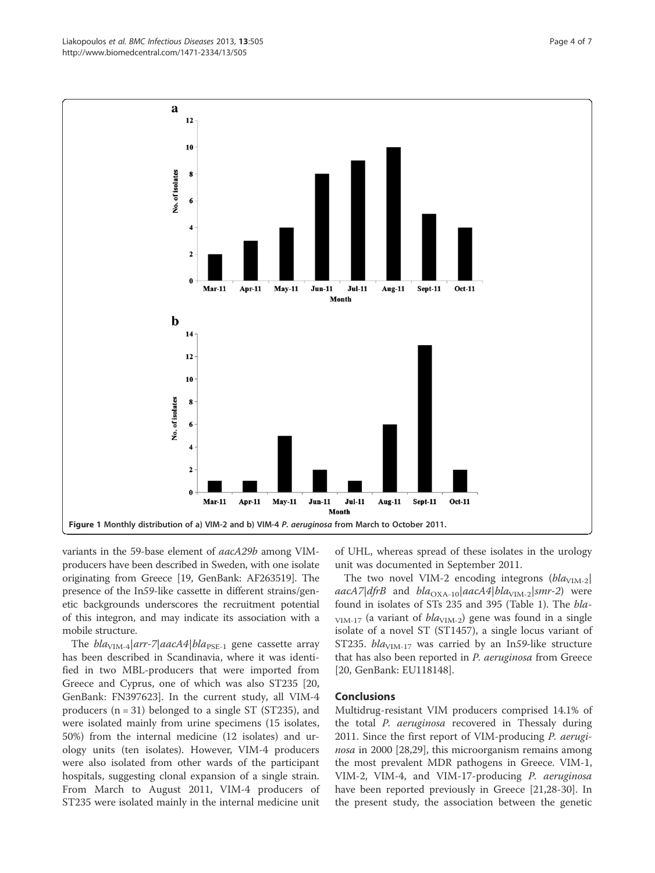variants in the 59-base element of aacA29b among VIMproducers have been described in Sweden, with one isolate originating from Greece [19, GenBank: AF263519]. The presence of the In59-like cassette in different strains/genetic backgrounds underscores the recruitment potential of this integron, and may indicate its association with a mobile structure.

The  $bla<sub>VIM-4</sub>|arr-7|aacA4|bla<sub>PSE-1</sub>$  gene cassette array has been described in Scandinavia, where it was identified in two MBL-producers that were imported from Greece and Cyprus, one of which was also ST235 [20, GenBank: FN397623]. In the current study, all VIM-4 producers  $(n = 31)$  belonged to a single ST (ST235), and were isolated mainly from urine specimens (15 isolates, 50%) from the internal medicine (12 isolates) and urology units (ten isolates). However, VIM-4 producers were also isolated from other wards of the participant hospitals, suggesting clonal expansion of a single strain. From March to August 2011, VIM-4 producers of ST235 were isolated mainly in the internal medicine unit

of UHL, whereas spread of these isolates in the urology unit was documented in September 2011.

The two novel VIM-2 encoding integrons  $(bla<sub>VIM-2</sub>]$ aacA7|dfrB and  $bla_{\text{OXA-10}}|aacA4|bla_{\text{VIM-2}}|smr-2)$  were found in isolates of STs 235 and 395 (Table 1). The bla- $_{\text{VIM-17}}$  (a variant of  $bla_{\text{VIM-2}}$ ) gene was found in a single isolate of a novel ST (ST1457), a single locus variant of ST235.  $bla<sub>VIM-17</sub>$  was carried by an In59-like structure that has also been reported in P. aeruginosa from Greece [20, GenBank: EU118148].

#### Conclusions

Multidrug-resistant VIM producers comprised 14.1% of the total *P. aeruginosa* recovered in Thessaly during 2011. Since the first report of VIM-producing P. aeruginosa in 2000 [28,29], this microorganism remains among the most prevalent MDR pathogens in Greece. VIM-1, VIM-2, VIM-4, and VIM-17-producing P. aeruginosa have been reported previously in Greece [21,28-30]. In the present study, the association between the genetic

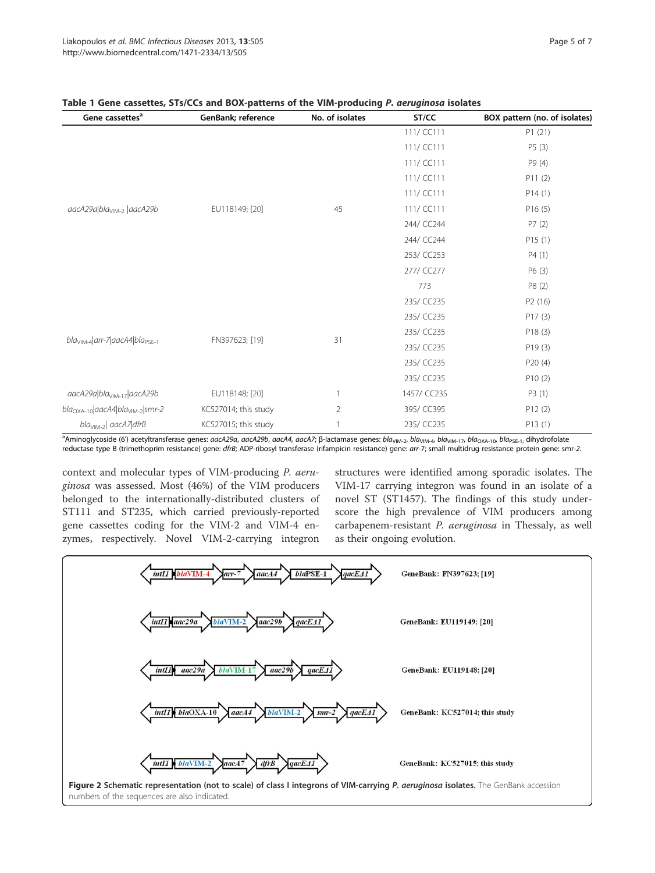| Gene cassettes <sup>a</sup>                    | GenBank; reference   | No. of isolates | ST/CC       | BOX pattern (no. of isolates) |
|------------------------------------------------|----------------------|-----------------|-------------|-------------------------------|
|                                                |                      |                 | 111/ CC111  | P1(21)                        |
|                                                |                      |                 | 111/ CC111  | P5(3)                         |
|                                                |                      |                 | 111/ CC111  | P9 (4)                        |
|                                                |                      |                 | 111/ CC111  | P11(2)                        |
| aacA29a bla <sub>VIM-2</sub>  aacA29b          | EU118149; [20]       | 45              | 111/ CC111  | P14(1)                        |
|                                                |                      |                 | 111/ CC111  | P16(5)                        |
|                                                |                      |                 | 244/ CC244  | P7(2)                         |
|                                                |                      |                 | 244/ CC244  | P15(1)                        |
|                                                |                      |                 | 253/ CC253  | P4(1)                         |
|                                                |                      |                 | 277/ CC277  | P6 (3)                        |
|                                                |                      |                 | 773         | P8 (2)                        |
| $blaVIM-4   arr-7  aacA4  blaPSE-1$            | FN397623; [19]       | 31              | 235/ CC235  | P <sub>2</sub> (16)           |
|                                                |                      |                 | 235/ CC235  | P17(3)                        |
|                                                |                      |                 | 235/ CC235  | P18(3)                        |
|                                                |                      |                 | 235/ CC235  | P19(3)                        |
|                                                |                      |                 | 235/ CC235  | P20(4)                        |
|                                                |                      |                 | 235/ CC235  | P10(2)                        |
| aacA29a\bla <sub>VIM-17</sub> \aacA29b         | EU118148; [20]       |                 | 1457/ CC235 | P3(1)                         |
| $bla_{\rm OXA-10} aacA4 bla_{\rm VIM-2} smr-2$ | KC527014; this study | $\overline{2}$  | 395/ CC395  | P12(2)                        |
| bla <sub>vIM-2</sub> aacA7 dfrB                | KC527015; this study |                 | 235/ CC235  | P13(1)                        |

## STs/CCs and BOX-patterns of the VIM-producing P. aeruginosa isolates

a<br>Aminoglycoside (6') acetyltransferase genes: *aacA29a, aacA29b, aacA4, aacA7;* β-lactamase genes: bla<sub>VIM-2</sub>, bla<sub>VIM-1</sub>, bla<sub>VIM-17</sub>, bla<sub>OXA-10</sub>, bla<sub>PSE-1;</sub> dihydrofolate reductase type B (trimethoprim resistance) gene: dfrB; ADP-ribosyl transferase (rifampicin resistance) gene: arr-7; small multidrug resistance protein gene: smr-2.

context and molecular types of VIM-producing P. aeruginosa was assessed. Most (46%) of the VIM producers belonged to the internationally-distributed clusters of ST111 and ST235, which carried previously-reported gene cassettes coding for the VIM-2 and VIM-4 enzymes, respectively. Novel VIM-2-carrying integron

structures were identified among sporadic isolates. The VIM-17 carrying integron was found in an isolate of a novel ST (ST1457). The findings of this study underscore the high prevalence of VIM producers among carbapenem-resistant P. aeruginosa in Thessaly, as well as their ongoing evolution.

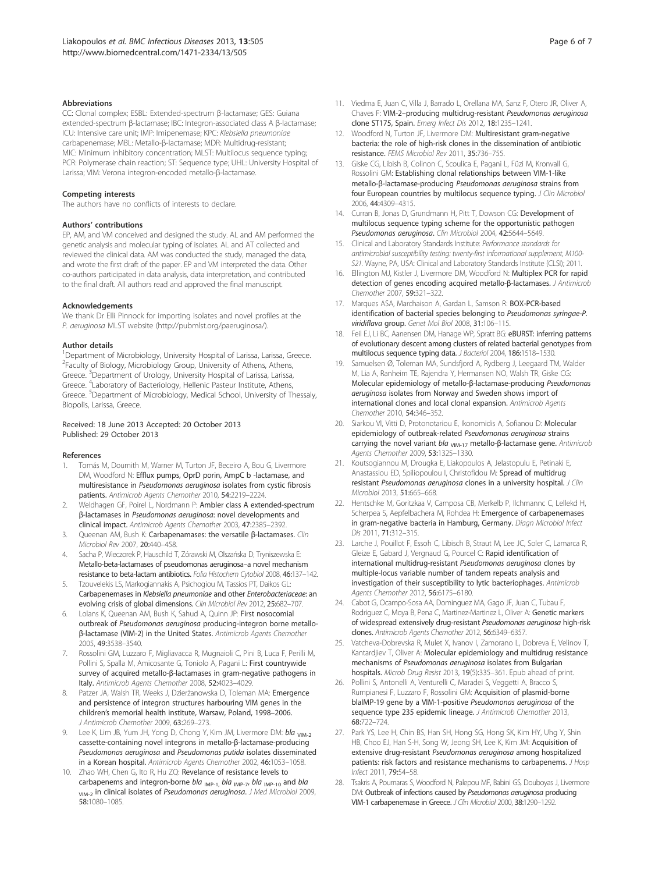#### **Abbreviations**

CC: Clonal complex; ESBL: Extended-spectrum β-lactamase; GES: Guiana extended-spectrum β-lactamase; IBC: Integron-associated class A β-lactamase; ICU: Intensive care unit; IMP: Imipenemase; KPC: Klebsiella pneumoniae carbapenemase; MBL: Metallo-β-lactamase; MDR: Multidrug-resistant; MIC: Minimum inhibitory concentration; MLST: Multilocus sequence typing; PCR: Polymerase chain reaction; ST: Sequence type; UHL: University Hospital of Larissa; VIM: Verona integron-encoded metallo-β-lactamase.

#### Competing interests

The authors have no conflicts of interests to declare.

#### Authors' contributions

EP, AM, and VM conceived and designed the study. AL and AM performed the genetic analysis and molecular typing of isolates. AL and AT collected and reviewed the clinical data. AM was conducted the study, managed the data, and wrote the first draft of the paper. EP and VM interpreted the data. Other co-authors participated in data analysis, data interpretation, and contributed to the final draft. All authors read and approved the final manuscript.

#### Acknowledgements

We thank Dr Elli Pinnock for importing isolates and novel profiles at the P. aeruginosa MLST website (http://pubmlst.org/paeruginosa/).

#### Author details

<sup>1</sup>Department of Microbiology, University Hospital of Larissa, Larissa, Greece. <sup>2</sup> Faculty of Biology, Microbiology Group, University of Athens, Athens, Greece. <sup>3</sup>Department of Urology, University Hospital of Larissa, Larissa, Greece. <sup>4</sup>Laboratory of Bacteriology, Hellenic Pasteur Institute, Athens, Greece. <sup>5</sup>Department of Microbiology, Medical School, University of Thessaly, Biopolis, Larissa, Greece.

#### Received: 18 June 2013 Accepted: 20 October 2013 Published: 29 October 2013

#### References

- 1. Tomás M, Doumith M, Warner M, Turton JF, Beceiro A, Bou G, Livermore DM, Woodford N: Efflux pumps, OprD porin, AmpC b -lactamase, and multiresistance in Pseudomonas aeruginosa isolates from cystic fibrosis patients. Antimicrob Agents Chemother 2010, 54:2219–2224.
- Weldhagen GF, Poirel L, Nordmann P: Ambler class A extended-spectrum β-lactamases in Pseudomonas aeruginosa: novel developments and clinical impact. Antimicrob Agents Chemother 2003, 47:2385–2392.
- 3. Queenan AM, Bush K: Carbapenamases: the versatile β-lactamases. Clin Microbiol Rev 2007, 20:440–458.
- 4. Sacha P, Wieczorek P, Hauschild T, Zórawski M, Olszańska D, Tryniszewska E: Metallo-beta-lactamases of pseudomonas aeruginosa–a novel mechanism resistance to beta-lactam antibiotics. Folia Histochem Cytobiol 2008, 46:137–142.
- 5. Tzouvelekis LS, Markogiannakis A, Psichogiou M, Tassios PT, Daikos GL: Carbapenemases in Klebsiella pneumoniae and other Enterobacteriaceae: an evolving crisis of global dimensions. Clin Microbiol Rev 2012, 25:682–707.
- Lolans K, Queenan AM, Bush K, Sahud A, Quinn JP: First nosocomial outbreak of Pseudomonas aeruginosa producing-integron borne metalloβ-lactamase (VIM-2) in the United States. Antimicrob Agents Chemother 2005, 49:3538–3540.
- 7. Rossolini GM, Luzzaro F, Migliavacca R, Mugnaioli C, Pini B, Luca F, Perilli M, Pollini S, Spalla M, Amicosante G, Toniolo A, Pagani L: First countrywide survey of acquired metallo-β-lactamases in gram-negative pathogens in Italy. Antimicrob Agents Chemother 2008, 52:4023–4029.
- Patzer JA, Walsh TR, Weeks J, Dzierżanowska D, Toleman MA: Emergence and persistence of integron structures harbouring VIM genes in the children's memorial health institute, Warsaw, Poland, 1998–2006. J Antimicrob Chemother 2009, 63:269–273.
- 9. Lee K, Lim JB, Yum JH, Yong D, Chong Y, Kim JM, Livermore DM: bla VIM-2 cassette-containing novel integrons in metallo-β-lactamase-producing Pseudomonas aeruginosa and Pseudomonas putida isolates disseminated in a Korean hospital. Antimicrob Agents Chemother 2002, 46:1053–1058.
- 10. Zhao WH, Chen G, Ito R, Hu ZQ: Revelance of resistance levels to carbapenems and integron-borne bla  $_{IMP-1}$ , bla  $_{IMP-7}$ , bla  $_{IMP-10}$  and bla VIM-2 in clinical isolates of Pseudomonas aeruginosa. J Med Microbiol 2009, 58:1080–1085.
- 11. Viedma E, Juan C, Villa J, Barrado L, Orellana MA, Sanz F, Otero JR, Oliver A, Chaves F: VIM-2–producing multidrug-resistant Pseudomonas aeruginosa clone ST175, Spain. Emerg Infect Dis 2012, 18:1235–1241.
- 12. Woodford N, Turton JF, Livermore DM: Multiresistant gram-negative bacteria: the role of high-risk clones in the dissemination of antibiotic resistance. FEMS Microbiol Rev 2011, 35:736–755.
- 13. Giske CG, Libish B, Colinon C, Scoulica E, Pagani L, Füzi M, Kronvall G, Rossolini GM: Establishing clonal relationships between VIM-1-like metallo-β-lactamase-producing Pseudomonas aeruginosa strains from four European countries by multilocus sequence typing. J Clin Microbiol 2006, 44:4309–4315.
- 14. Curran B, Jonas D, Grundmann H, Pitt T, Dowson CG: Development of multilocus sequence typing scheme for the opportunistic pathogen Pseudomonas aeruginosa. Clin Microbiol 2004, 42:5644–5649.
- 15. Clinical and Laboratory Standards Institute: Performance standards for antimicrobial susceptibility testing: twenty-first informational supplement, M100- S21. Wayne, PA, USA: Clinical and Laboratory Standards Institute (CLSI); 2011.
- 16. Ellington MJ, Kistler J, Livermore DM, Woodford N: Multiplex PCR for rapid detection of genes encoding acquired metallo-β-lactamases. J Antimicrob Chemother 2007, 59:321–322.
- 17. Marques ASA, Marchaison A, Gardan L, Samson R: BOX-PCR-based identification of bacterial species belonging to Pseudomonas syringae-P. viridiflava group. Genet Mol Biol 2008, 31:106–115.
- 18. Feil EJ, Li BC, Aanensen DM, Hanage WP, Spratt BG: eBURST: inferring patterns of evolutionary descent among clusters of related bacterial genotypes from multilocus sequence typing data. J Bacteriol 2004, 186:1518-1530.
- 19. Samuelsen Ø, Toleman MA, Sundsfjord A, Rydberg J, Leegaard TM, Walder M, Lia A, Ranheim TE, Rajendra Y, Hermansen NO, Walsh TR, Giske CG: Molecular epidemiology of metallo-β-lactamase-producing Pseudomonas aeruginosa isolates from Norway and Sweden shows import of international clones and local clonal expansion. Antimicrob Agents Chemother 2010, 54:346–352.
- 20. Siarkou VI, Vitti D, Protonotariou E, Ikonomidis A, Sofianou D: Molecular epidemiology of outbreak-related Pseudomonas aeruginosa strains carrying the novel variant bla <sub>VIM-17</sub> metallo-β-lactamase gene. Antimicrob Agents Chemother 2009, 53:1325-1330.
- 21. Koutsogiannou M, Drougka E, Liakopoulos A, Jelastopulu E, Petinaki E, Anastassiou ED, Spiliopoulou I, Christofidou M: Spread of multidrug resistant Pseudomonas aeruginosa clones in a university hospital. J Clin Microbiol 2013, 51:665–668.
- 22. Hentschke M, Goritzkaa V, Camposa CB, Merkelb P, Ilchmannc C, Lellekd H, Scherpea S, Aepfelbachera M, Rohdea H: Emergence of carbapenemases in gram-negative bacteria in Hamburg, Germany. Diagn Microbiol Infect Dis 2011, 71:312–315.
- 23. Larche J, Pouillot F, Essoh C, Libisch B, Straut M, Lee JC, Soler C, Lamarca R, Gleize E, Gabard J, Vergnaud G, Pourcel C: Rapid identification of international multidrug-resistant Pseudomonas aeruginosa clones by multiple-locus variable number of tandem repeats analysis and investigation of their susceptibility to lytic bacteriophages. Antimicrob Agents Chemother 2012, 56:6175–6180.
- 24. Cabot G, Ocampo-Sosa AA, Dominguez MA, Gago JF, Juan C, Tubau F, Rodriguez C, Moya B, Pena C, Martinez-Martinez L, Oliver A: Genetic markers of widespread extensively drug-resistant Pseudomonas aeruginosa high-risk clones. Antimicrob Agents Chemother 2012, 56:6349–6357.
- 25. Vatcheva-Dobrevska R, Mulet X, Ivanov I, Zamorano L, Dobreva E, Velinov T, Kantardjiev T, Oliver A: Molecular epidemiology and multidrug resistance mechanisms of Pseudomonas aeruginosa isolates from Bulgarian hospitals. Microb Drug Resist 2013, 19(5):335–361. Epub ahead of print.
- 26. Pollini S, Antonelli A, Venturelli C, Maradei S, Veggetti A, Bracco S, Rumpianesi F, Luzzaro F, Rossolini GM: Acquisition of plasmid-borne blaIMP-19 gene by a VIM-1-positive Pseudomonas aeruginosa of the sequence type 235 epidemic lineage. J Antimicrob Chemother 2013, 68:722–724.
- 27. Park YS, Lee H, Chin BS, Han SH, Hong SG, Hong SK, Kim HY, Uhg Y, Shin HB, Choo EJ, Han S-H, Song W, Jeong SH, Lee K, Kim JM: Acquisition of extensive drug-resistant Pseudomonas aeruginosa among hospitalized patients: risk factors and resistance mechanisms to carbapenems. J Hosp Infect 2011, 79:54–58.
- 28. Tsakris A, Pournaras S, Woodford N, Palepou MF, Babini GS, Douboyas J, Livermore DM: Outbreak of infections caused by Pseudomonas aeruginosa producing VIM-1 carbapenemase in Greece. J Clin Microbiol 2000, 38:1290–1292.